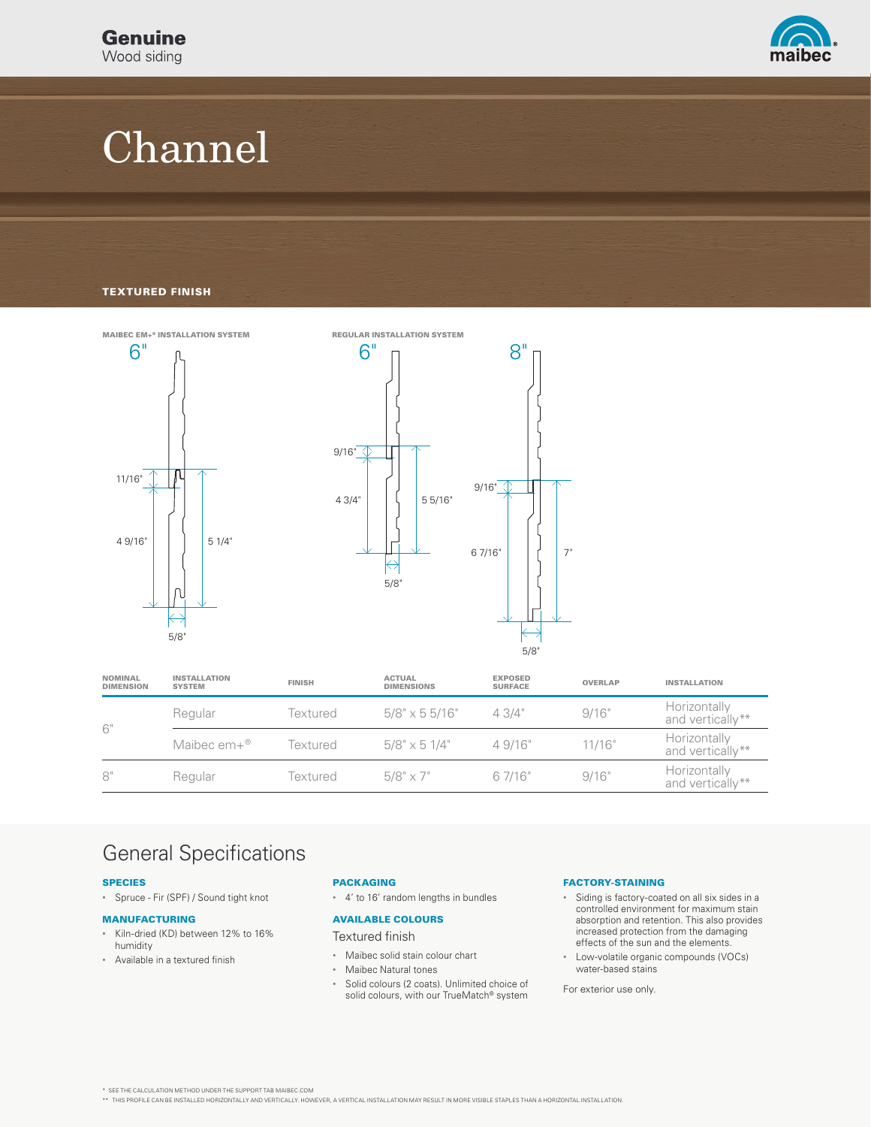

# Channel

### TEXTURED FINISH



| NOMINAL<br><b>DIMENSION</b> | <b>INSTALLATION</b><br><b>SYSTEM</b> | <b>FINISH</b> | <b>ACTUAL</b><br><b>DIMENSIONS</b> | <b>EXPOSED</b><br><b>SURFACE</b> | <b>OVERLAP</b> | <b>INSTALLATION</b>              |
|-----------------------------|--------------------------------------|---------------|------------------------------------|----------------------------------|----------------|----------------------------------|
| 6"                          | Regular                              | Textured      | $5/8$ " x 5 5/16"                  | 43/4"                            | 9/16"          | Horizontally<br>and vertically** |
|                             | Maibec $em+{}^{\circledR}$           | Textured      | $5/8$ " x 5 1/4"                   | 4.9/16"                          | 11/16"         | Horizontally<br>and vertically** |
| 8"                          | Regular                              | Textured      | $5/8" \times 7"$                   | 6 7/16"                          | 9/16"          | Horizontally<br>and vertically** |

### General Specifications

### SPECIES

• Spruce - Fir (SPF) / Sound tight knot

#### MANUFACTURING

- Kiln-dried (KD) between 12% to 16% humidity
- Available in a textured finish

### PACKAGING

• 4' to 16' random lengths in bundles

### AVAILABLE COLOURS

Textured finish

- Maibec solid stain colour chart
- Maibec Natural tones
- Solid colours (2 coats). Unlimited choice of solid colours, with our TrueMatch® system

### FACTORY-STAINING

- Siding is factory-coated on all six sides in a controlled environment for maximum stain absorption and retention. This also provides increased protection from the damaging effects of the sun and the elements.
- Low-volatile organic compounds (VOCs) water-based stains

For exterior use only.

\* SEE THE CALCULATION METHOD UNDER THE SUPPORT TAB MAIBEC.COM